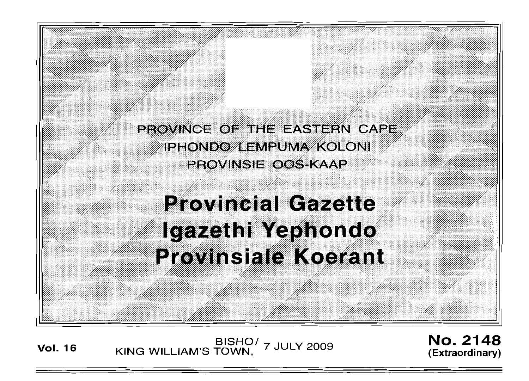PROVINCE OF THE EASTERN CAPE IPHONDO LEMPUMA KOLONI PROVINSIE OOS KAAP

# **Provincial Gazette** Igazethi Yephondo **Provinsiale Koerant**

**Vol. <sup>16</sup>** BISHO/ KING WILLIAM'S TOWN, 7 JULY 2009

No. 2148 **(Extraordinary)**